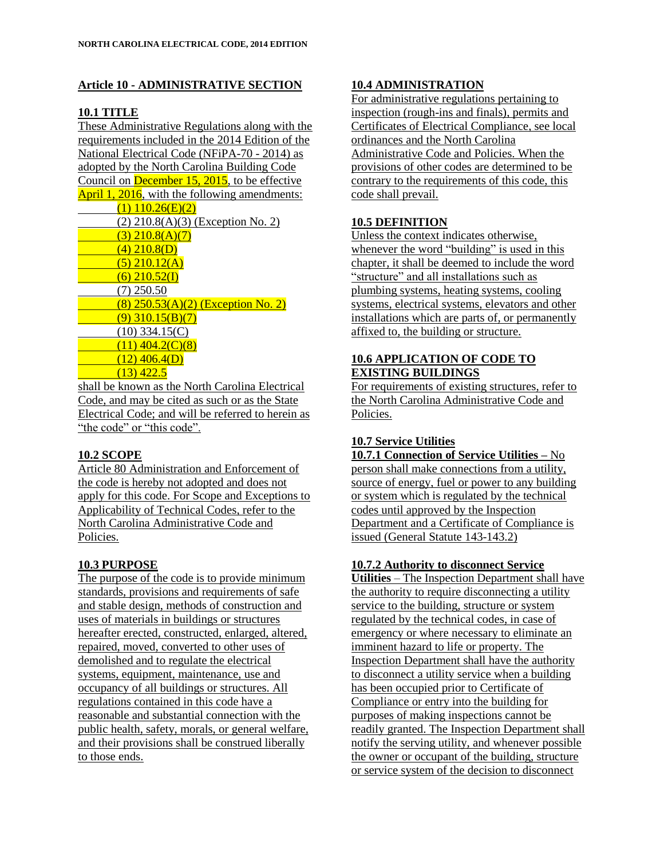## **Article 10 - ADMINISTRATIVE SECTION**

# **10.1 TITLE**

These Administrative Regulations along with the requirements included in the 2014 Edition of the National Electrical Code (NFiPA-70 - 2014) as adopted by the North Carolina Building Code Council on December 15, 2015, to be effective April 1, 2016, with the following amendments:

 $(1)$  110.26(E)(2) (2) 210.8(A)(3) (Exception No. 2)  $(3)$  210.8(A)(7)  $(4)$  210.8(D)  $(5)$  210.12(A)  $(6)$  210.52(I) (7) 250.50  $(8)$  250.53(A)(2) (Exception No. 2)  $(9)$  310.15(B)(7)  $(10)$  334.15 $(C)$  $(11)$  404.2(C)(8)  $(12)$  406.4(D)  $(13)$  422.5

shall be known as the North Carolina Electrical Code, and may be cited as such or as the State Electrical Code; and will be referred to herein as "the code" or "this code".

# **10.2 SCOPE**

Article 80 Administration and Enforcement of the code is hereby not adopted and does not apply for this code. For Scope and Exceptions to Applicability of Technical Codes, refer to the North Carolina Administrative Code and Policies.

# **10.3 PURPOSE**

The purpose of the code is to provide minimum standards, provisions and requirements of safe and stable design, methods of construction and uses of materials in buildings or structures hereafter erected, constructed, enlarged, altered, repaired, moved, converted to other uses of demolished and to regulate the electrical systems, equipment, maintenance, use and occupancy of all buildings or structures. All regulations contained in this code have a reasonable and substantial connection with the public health, safety, morals, or general welfare, and their provisions shall be construed liberally to those ends.

# **10.4 ADMINISTRATION**

For administrative regulations pertaining to inspection (rough-ins and finals), permits and Certificates of Electrical Compliance, see local ordinances and the North Carolina Administrative Code and Policies. When the provisions of other codes are determined to be contrary to the requirements of this code, this code shall prevail.

# **10.5 DEFINITION**

Unless the context indicates otherwise, whenever the word "building" is used in this chapter, it shall be deemed to include the word "structure" and all installations such as plumbing systems, heating systems, cooling systems, electrical systems, elevators and other installations which are parts of, or permanently affixed to, the building or structure.

#### **10.6 APPLICATION OF CODE TO EXISTING BUILDINGS**

For requirements of existing structures, refer to the North Carolina Administrative Code and Policies.

# **10.7 Service Utilities**

**10.7.1 Connection of Service Utilities –** No person shall make connections from a utility, source of energy, fuel or power to any building or system which is regulated by the technical codes until approved by the Inspection Department and a Certificate of Compliance is issued (General Statute 143-143.2)

#### **10.7.2 Authority to disconnect Service**

**Utilities** – The Inspection Department shall have the authority to require disconnecting a utility service to the building, structure or system regulated by the technical codes, in case of emergency or where necessary to eliminate an imminent hazard to life or property. The Inspection Department shall have the authority to disconnect a utility service when a building has been occupied prior to Certificate of Compliance or entry into the building for purposes of making inspections cannot be readily granted. The Inspection Department shall notify the serving utility, and whenever possible the owner or occupant of the building, structure or service system of the decision to disconnect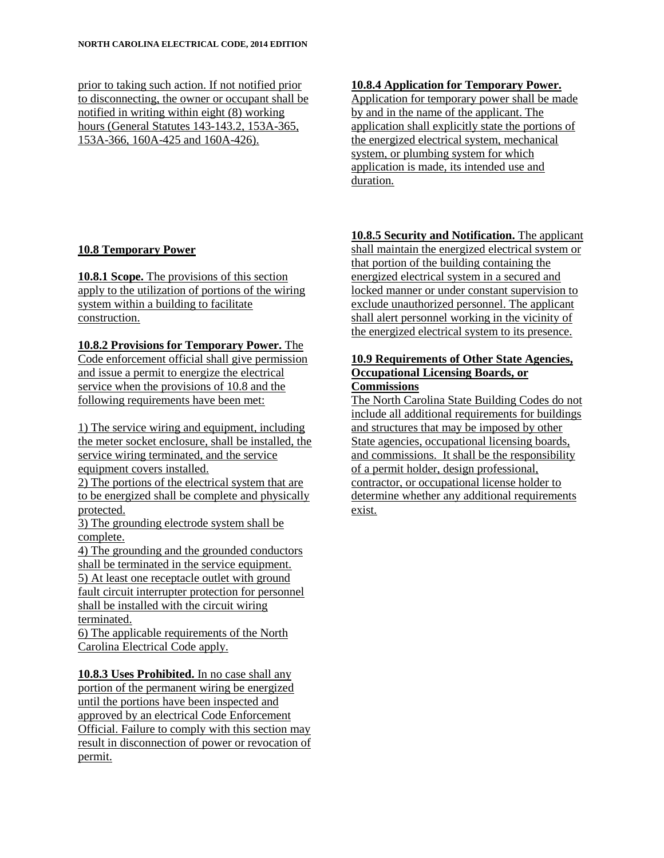prior to taking such action. If not notified prior to disconnecting, the owner or occupant shall be notified in writing within eight (8) working hours (General Statutes 143-143.2, 153A-365, 153A-366, 160A-425 and 160A-426).

# **10.8 Temporary Power**

**10.8.1 Scope.** The provisions of this section apply to the utilization of portions of the wiring system within a building to facilitate construction.

## **10.8.2 Provisions for Temporary Power.** The

Code enforcement official shall give permission and issue a permit to energize the electrical service when the provisions of 10.8 and the following requirements have been met:

1) The service wiring and equipment, including the meter socket enclosure, shall be installed, the service wiring terminated, and the service equipment covers installed.

2) The portions of the electrical system that are to be energized shall be complete and physically protected.

3) The grounding electrode system shall be complete.

4) The grounding and the grounded conductors shall be terminated in the service equipment. 5) At least one receptacle outlet with ground fault circuit interrupter protection for personnel shall be installed with the circuit wiring terminated.

6) The applicable requirements of the North Carolina Electrical Code apply.

**10.8.3 Uses Prohibited.** In no case shall any portion of the permanent wiring be energized until the portions have been inspected and approved by an electrical Code Enforcement Official. Failure to comply with this section may result in disconnection of power or revocation of permit.

#### **10.8.4 Application for Temporary Power.**

Application for temporary power shall be made by and in the name of the applicant. The application shall explicitly state the portions of the energized electrical system, mechanical system, or plumbing system for which application is made, its intended use and duration.

# **10.8.5 Security and Notification.** The applicant

shall maintain the energized electrical system or that portion of the building containing the energized electrical system in a secured and locked manner or under constant supervision to exclude unauthorized personnel. The applicant shall alert personnel working in the vicinity of the energized electrical system to its presence.

#### **10.9 Requirements of Other State Agencies, Occupational Licensing Boards, or Commissions**

The North Carolina State Building Codes do not include all additional requirements for buildings and structures that may be imposed by other State agencies, occupational licensing boards, and commissions. It shall be the responsibility of a permit holder, design professional, contractor, or occupational license holder to determine whether any additional requirements exist.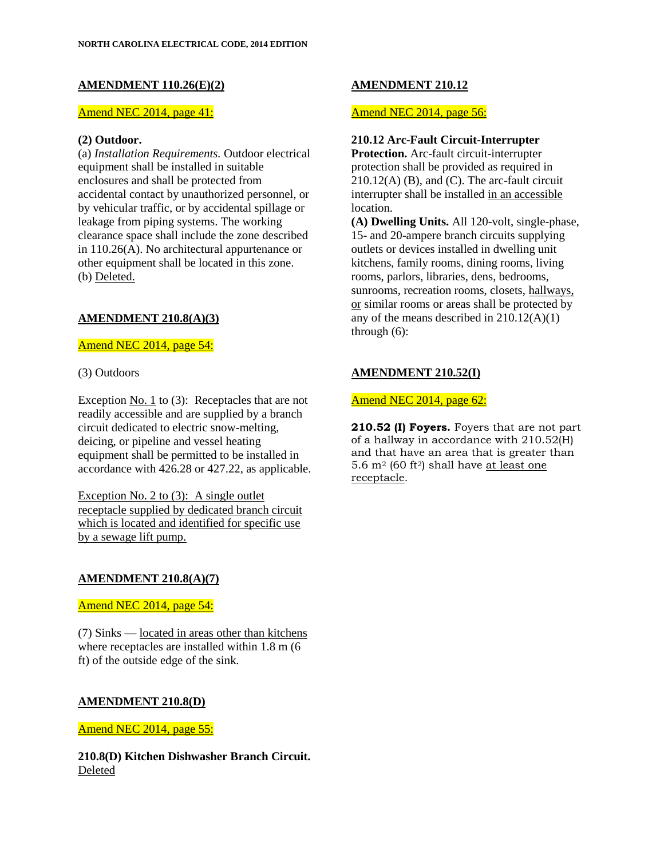#### **AMENDMENT 110.26(E)(2)**

#### Amend NEC 2014, page 41:

#### **(2) Outdoor.**

(a) *Installation Requirements.* Outdoor electrical equipment shall be installed in suitable enclosures and shall be protected from accidental contact by unauthorized personnel, or by vehicular traffic, or by accidental spillage or leakage from piping systems. The working clearance space shall include the zone described in 110.26(A). No architectural appurtenance or other equipment shall be located in this zone. (b) Deleted.

# **AMENDMENT 210.8(A)(3)**

Amend NEC 2014, page 54:

(3) Outdoors

Exception No. 1 to (3): Receptacles that are not readily accessible and are supplied by a branch circuit dedicated to electric snow-melting, deicing, or pipeline and vessel heating equipment shall be permitted to be installed in accordance with 426.28 or 427.22, as applicable.

Exception No. 2 to (3): A single outlet receptacle supplied by dedicated branch circuit which is located and identified for specific use by a sewage lift pump.

#### **AMENDMENT 210.8(A)(7)**

Amend NEC 2014, page 54:

(7) Sinks — located in areas other than kitchens where receptacles are installed within 1.8 m (6 ft) of the outside edge of the sink.

#### **AMENDMENT 210.8(D)**

Amend NEC 2014, page 55:

**210.8(D) Kitchen Dishwasher Branch Circuit.** Deleted

#### **AMENDMENT 210.12**

#### Amend NEC 2014, page 56:

#### **210.12 Arc-Fault Circuit-Interrupter**

**Protection.** Arc-fault circuit-interrupter protection shall be provided as required in  $210.12(A)$  (B), and (C). The arc-fault circuit interrupter shall be installed in an accessible location.

**(A) Dwelling Units.** All 120-volt, single-phase, 15- and 20-ampere branch circuits supplying outlets or devices installed in dwelling unit kitchens, family rooms, dining rooms, living rooms, parlors, libraries, dens, bedrooms, sunrooms, recreation rooms, closets, hallways, or similar rooms or areas shall be protected by any of the means described in  $210.12(A)(1)$ through (6):

### **AMENDMENT 210.52(I)**

## Amend NEC 2014, page 62:

**210.52 (I) Foyers.** Foyers that are not part of a hallway in accordance with 210.52(H) and that have an area that is greater than 5.6  $m^2$  (60 ft<sup>2</sup>) shall have <u>at least one</u> receptacle.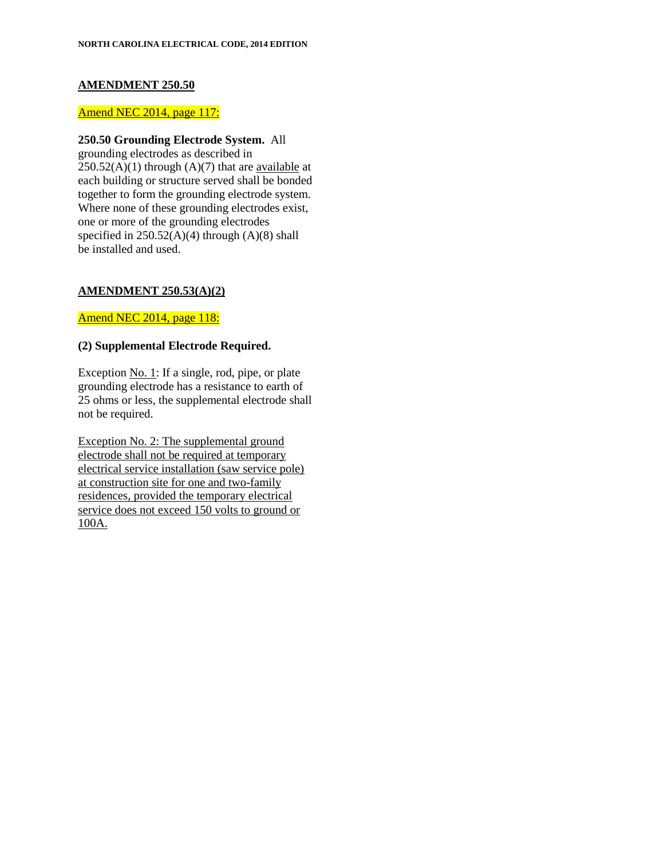### **AMENDMENT 250.50**

#### Amend NEC 2014, page 117:

## **250.50 Grounding Electrode System.** All

grounding electrodes as described in  $250.52(A)(1)$  through  $(A)(7)$  that are <u>available</u> at each building or structure served shall be bonded together to form the grounding electrode system. Where none of these grounding electrodes exist, one or more of the grounding electrodes specified in  $250.52(A)(4)$  through  $(A)(8)$  shall be installed and used.

### **AMENDMENT 250.53(A)(2)**

Amend NEC 2014, page 118:

### **(2) Supplemental Electrode Required.**

Exception No. 1: If a single, rod, pipe, or plate grounding electrode has a resistance to earth of 25 ohms or less, the supplemental electrode shall not be required.

Exception No. 2: The supplemental ground electrode shall not be required at temporary electrical service installation (saw service pole) at construction site for one and two-family residences, provided the temporary electrical service does not exceed 150 volts to ground or 100A.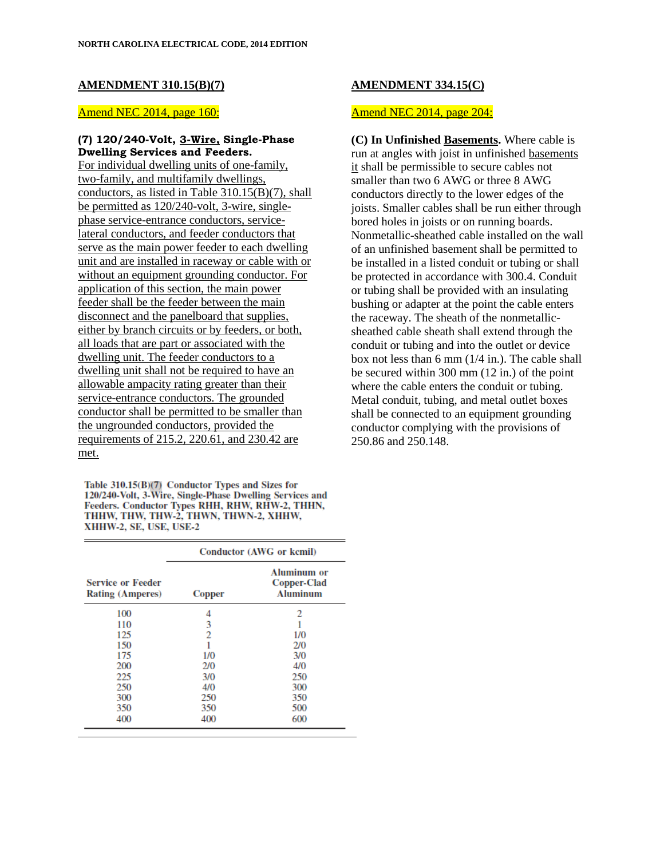#### **AMENDMENT 310.15(B)(7)**

#### Amend NEC 2014, page 160:

#### **(7) 120/240-Volt, 3-Wire, Single-Phase Dwelling Services and Feeders.**

For individual dwelling units of one-family, two-family, and multifamily dwellings, conductors, as listed in Table 310.15(B)(7), shall be permitted as 120/240-volt, 3-wire, singlephase service-entrance conductors, servicelateral conductors, and feeder conductors that serve as the main power feeder to each dwelling unit and are installed in raceway or cable with or without an equipment grounding conductor. For application of this section, the main power feeder shall be the feeder between the main disconnect and the panelboard that supplies, either by branch circuits or by feeders, or both, all loads that are part or associated with the dwelling unit. The feeder conductors to a dwelling unit shall not be required to have an allowable ampacity rating greater than their service-entrance conductors. The grounded conductor shall be permitted to be smaller than the ungrounded conductors, provided the requirements of 215.2, 220.61, and 230.42 are met.

Table 310.15(B)(7) Conductor Types and Sizes for 120/240-Volt, 3-Wire, Single-Phase Dwelling Services and Feeders. Conductor Types RHH, RHW, RHW-2, THHN, THHW, THW, THW-2, THWN, THWN-2, XHHW, XHHW-2, SE, USE, USE-2

|                                                     | Conductor (AWG or kemil) |                                                             |
|-----------------------------------------------------|--------------------------|-------------------------------------------------------------|
| <b>Service or Feeder</b><br><b>Rating (Amperes)</b> | <b>Copper</b>            | <b>Aluminum or</b><br><b>Copper-Clad</b><br><b>Aluminum</b> |
| 100                                                 | 4                        | 2                                                           |
| 110                                                 | 3                        |                                                             |
| 125                                                 | 2                        | 1/0                                                         |
| 150                                                 |                          | 2/0                                                         |
| 175                                                 | 1/0                      | 3/0                                                         |
| 200                                                 | 2/0                      | 4/0                                                         |
| 225                                                 | 3/0                      | 250                                                         |
| 250                                                 | 4/0                      | 300                                                         |
| 300                                                 | 250                      | 350                                                         |
| 350                                                 | 350                      | 500                                                         |
| 400                                                 | 400                      | 600                                                         |
|                                                     |                          |                                                             |

## **AMENDMENT 334.15(C)**

## Amend NEC 2014, page 204:

**(C) In Unfinished Basements.** Where cable is run at angles with joist in unfinished basements it shall be permissible to secure cables not smaller than two 6 AWG or three 8 AWG conductors directly to the lower edges of the joists. Smaller cables shall be run either through bored holes in joists or on running boards. Nonmetallic-sheathed cable installed on the wall of an unfinished basement shall be permitted to be installed in a listed conduit or tubing or shall be protected in accordance with 300.4. Conduit or tubing shall be provided with an insulating bushing or adapter at the point the cable enters the raceway. The sheath of the nonmetallicsheathed cable sheath shall extend through the conduit or tubing and into the outlet or device box not less than 6 mm (1/4 in.). The cable shall be secured within 300 mm (12 in.) of the point where the cable enters the conduit or tubing. Metal conduit, tubing, and metal outlet boxes shall be connected to an equipment grounding conductor complying with the provisions of 250.86 and 250.148.